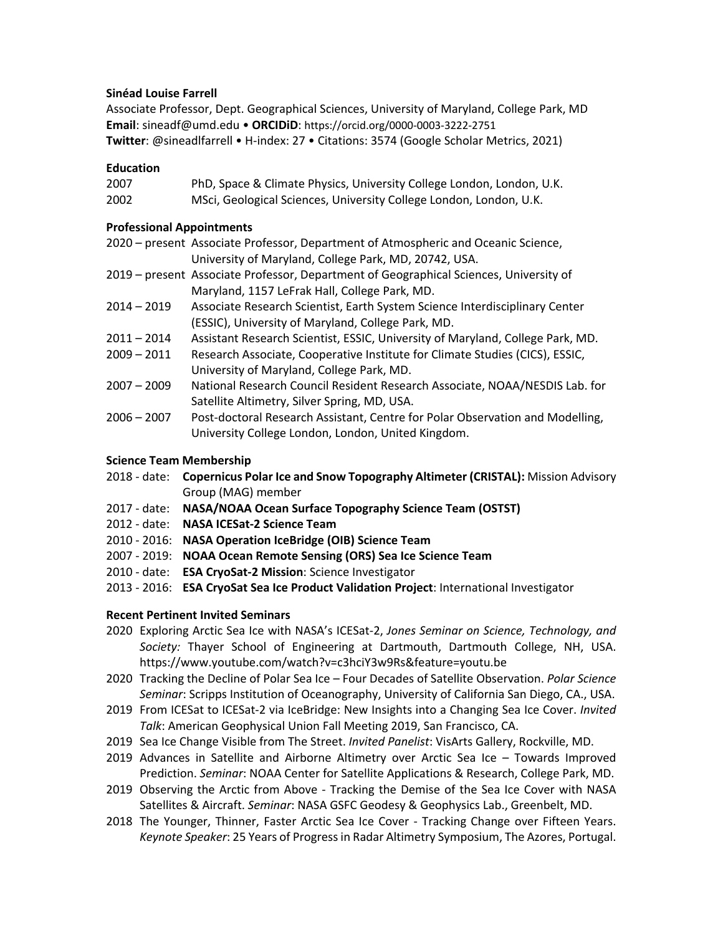# **Sinéad Louise Farrell**

Associate Professor, Dept. Geographical Sciences, University of Maryland, College Park, MD **Email**: sineadf@umd.edu • **ORCIDiD**: https://orcid.org/0000-0003-3222-2751 **Twitter**: @sineadlfarrell • H-index: 27 • Citations: 3574 (Google Scholar Metrics, 2021)

# **Education**

| 2007 | PhD, Space & Climate Physics, University College London, London, U.K. |
|------|-----------------------------------------------------------------------|
| 2002 | MSci, Geological Sciences, University College London, London, U.K.    |

# **Professional Appointments**

- 2020 present Associate Professor, Department of Atmospheric and Oceanic Science, University of Maryland, College Park, MD, 20742, USA.
- 2019 present Associate Professor, Department of Geographical Sciences, University of Maryland, 1157 LeFrak Hall, College Park, MD.
- 2014 2019 Associate Research Scientist, Earth System Science Interdisciplinary Center (ESSIC), University of Maryland, College Park, MD.
- 2011 2014 Assistant Research Scientist, ESSIC, University of Maryland, College Park, MD.
- 2009 2011 Research Associate, Cooperative Institute for Climate Studies (CICS), ESSIC, University of Maryland, College Park, MD.
- 2007 2009 National Research Council Resident Research Associate, NOAA/NESDIS Lab. for Satellite Altimetry, Silver Spring, MD, USA.
- 2006 2007 Post-doctoral Research Assistant, Centre for Polar Observation and Modelling, University College London, London, United Kingdom.

## **Science Team Membership**

- 2018 date: **Copernicus Polar Ice and Snow Topography Altimeter (CRISTAL):** Mission Advisory Group (MAG) member
- 2017 date: **NASA/NOAA Ocean Surface Topography Science Team (OSTST)**
- 2012 date: **NASA ICESat-2 Science Team**
- 2010 2016: **NASA Operation IceBridge (OIB) Science Team**
- 2007 2019: **NOAA Ocean Remote Sensing (ORS) Sea Ice Science Team**
- 2010 date: **ESA CryoSat-2 Mission**: Science Investigator
- 2013 2016: **ESA CryoSat Sea Ice Product Validation Project**: International Investigator

# **Recent Pertinent Invited Seminars**

- 2020 Exploring Arctic Sea Ice with NASA's ICESat-2, *Jones Seminar on Science, Technology, and Society:* Thayer School of Engineering at Dartmouth, Dartmouth College, NH, USA. https://www.youtube.com/watch?v=c3hciY3w9Rs&feature=youtu.be
- 2020 Tracking the Decline of Polar Sea Ice Four Decades of Satellite Observation. *Polar Science Seminar*: Scripps Institution of Oceanography, University of California San Diego, CA., USA.
- 2019 From ICESat to ICESat-2 via IceBridge: New Insights into a Changing Sea Ice Cover. *Invited Talk*: American Geophysical Union Fall Meeting 2019, San Francisco, CA.
- 2019 Sea Ice Change Visible from The Street. *Invited Panelist*: VisArts Gallery, Rockville, MD.
- 2019 Advances in Satellite and Airborne Altimetry over Arctic Sea Ice Towards Improved Prediction. *Seminar*: NOAA Center for Satellite Applications & Research, College Park, MD.
- 2019 Observing the Arctic from Above Tracking the Demise of the Sea Ice Cover with NASA Satellites & Aircraft. *Seminar*: NASA GSFC Geodesy & Geophysics Lab., Greenbelt, MD.
- 2018 The Younger, Thinner, Faster Arctic Sea Ice Cover Tracking Change over Fifteen Years. *Keynote Speaker*: 25 Years of Progress in Radar Altimetry Symposium, The Azores, Portugal.